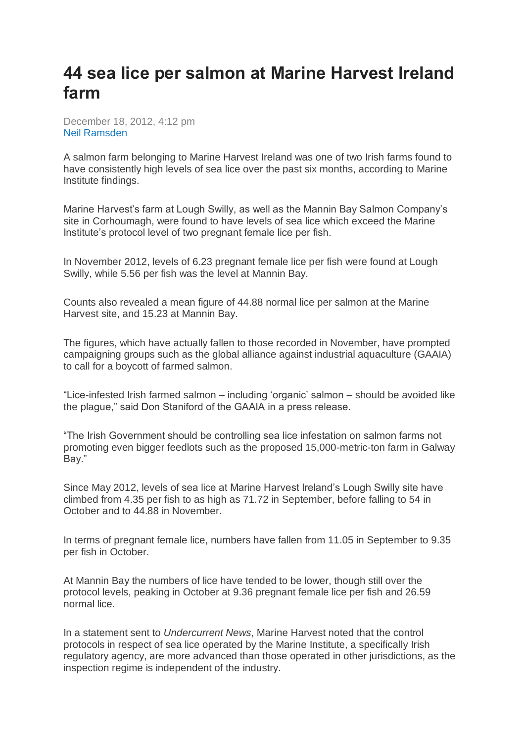## **44 sea lice per salmon at Marine Harvest Ireland farm**

December 18, 2012, 4:12 pm [Neil Ramsden](mailto:neil.ramsden@undercurrentnews.com)

A salmon farm belonging to Marine Harvest Ireland was one of two Irish farms found to have consistently high levels of sea lice over the past six months, according to Marine Institute findings.

Marine Harvest's farm at Lough Swilly, as well as the Mannin Bay Salmon Company's site in Corhoumagh, were found to have levels of sea lice which exceed the Marine Institute's protocol level of two pregnant female lice per fish.

In November 2012, levels of 6.23 pregnant female lice per fish were found at Lough Swilly, while 5.56 per fish was the level at Mannin Bay.

Counts also revealed a mean figure of 44.88 normal lice per salmon at the Marine Harvest site, and 15.23 at Mannin Bay.

The figures, which have actually fallen to those recorded in November, have prompted campaigning groups such as the global alliance against industrial aquaculture (GAAIA) to call for a boycott of farmed salmon.

"Lice-infested Irish farmed salmon – including 'organic' salmon – should be avoided like the plague," said Don Staniford of the GAAIA in a press release.

"The Irish Government should be controlling sea lice infestation on salmon farms not promoting even bigger feedlots such as the proposed 15,000-metric-ton farm in Galway Bay."

Since May 2012, levels of sea lice at Marine Harvest Ireland's Lough Swilly site have climbed from 4.35 per fish to as high as 71.72 in September, before falling to 54 in October and to 44.88 in November.

In terms of pregnant female lice, numbers have fallen from 11.05 in September to 9.35 per fish in October.

At Mannin Bay the numbers of lice have tended to be lower, though still over the protocol levels, peaking in October at 9.36 pregnant female lice per fish and 26.59 normal lice.

In a statement sent to *Undercurrent News*, Marine Harvest noted that the control protocols in respect of sea lice operated by the Marine Institute, a specifically Irish regulatory agency, are more advanced than those operated in other jurisdictions, as the inspection regime is independent of the industry.